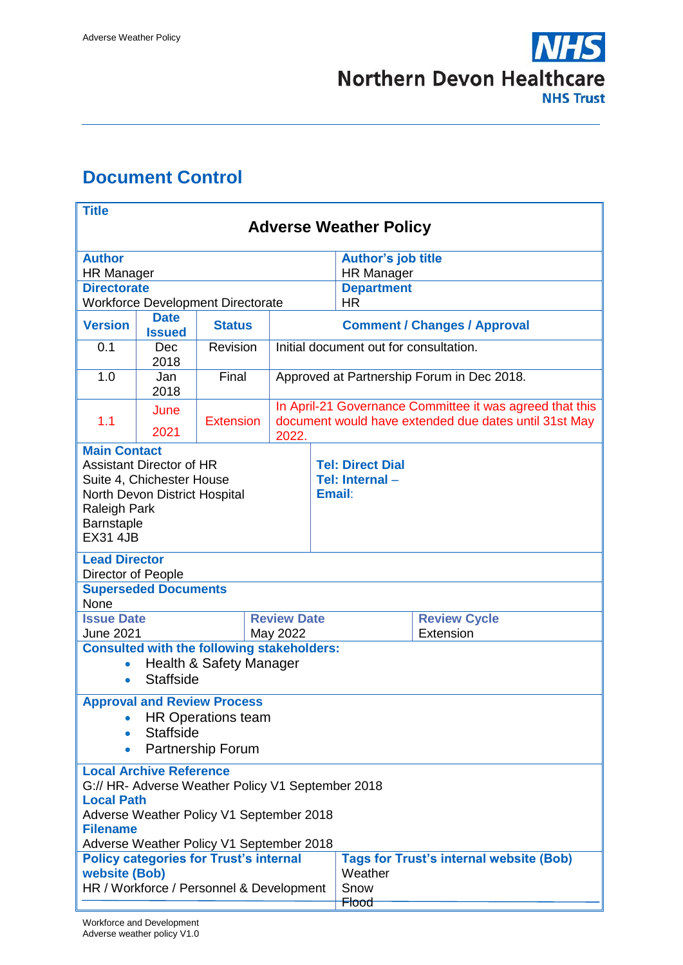

# <span id="page-0-0"></span>**Document Control**

| <b>Title</b><br><b>Adverse Weather Policy</b>                                                                                                                                                                       |                                                                          |                  |  |                    |                                                     |                                                                   |                                                                                                                   |  |  |  |
|---------------------------------------------------------------------------------------------------------------------------------------------------------------------------------------------------------------------|--------------------------------------------------------------------------|------------------|--|--------------------|-----------------------------------------------------|-------------------------------------------------------------------|-------------------------------------------------------------------------------------------------------------------|--|--|--|
|                                                                                                                                                                                                                     |                                                                          |                  |  |                    |                                                     |                                                                   |                                                                                                                   |  |  |  |
| <b>Author</b><br><b>HR Manager</b>                                                                                                                                                                                  |                                                                          |                  |  |                    |                                                     | <b>Author's job title</b><br><b>HR Manager</b>                    |                                                                                                                   |  |  |  |
| <b>Directorate</b>                                                                                                                                                                                                  |                                                                          |                  |  |                    |                                                     | <b>Department</b><br><b>HR</b>                                    |                                                                                                                   |  |  |  |
| <b>Version</b>                                                                                                                                                                                                      | <b>Workforce Development Directorate</b><br><b>Date</b><br><b>Status</b> |                  |  |                    | <b>Comment / Changes / Approval</b>                 |                                                                   |                                                                                                                   |  |  |  |
| 0.1                                                                                                                                                                                                                 | <b>Issued</b><br>Dec<br>2018                                             | Revision         |  |                    | Initial document out for consultation.              |                                                                   |                                                                                                                   |  |  |  |
| 1.0                                                                                                                                                                                                                 | Jan<br>2018                                                              | Final            |  |                    |                                                     | Approved at Partnership Forum in Dec 2018.                        |                                                                                                                   |  |  |  |
| 1.1                                                                                                                                                                                                                 | June<br>2021                                                             | <b>Extension</b> |  | 2022.              |                                                     |                                                                   | In April-21 Governance Committee it was agreed that this<br>document would have extended due dates until 31st May |  |  |  |
| <b>Main Contact</b><br><b>Assistant Director of HR</b><br>Suite 4, Chichester House<br>North Devon District Hospital<br>Raleigh Park<br>Barnstaple<br><b>EX31 4JB</b>                                               |                                                                          |                  |  |                    | <b>Tel: Direct Dial</b><br>Tel: Internal-<br>Email: |                                                                   |                                                                                                                   |  |  |  |
| <b>Lead Director</b><br>Director of People                                                                                                                                                                          |                                                                          |                  |  |                    |                                                     |                                                                   |                                                                                                                   |  |  |  |
| None                                                                                                                                                                                                                | <b>Superseded Documents</b>                                              |                  |  |                    |                                                     |                                                                   |                                                                                                                   |  |  |  |
| <b>Issue Date</b>                                                                                                                                                                                                   |                                                                          |                  |  | <b>Review Date</b> |                                                     |                                                                   | <b>Review Cycle</b><br>Extension                                                                                  |  |  |  |
| <b>June 2021</b><br>May 2022<br><b>Consulted with the following stakeholders:</b><br>Health & Safety Manager<br><b>Staffside</b><br>$\bullet$                                                                       |                                                                          |                  |  |                    |                                                     |                                                                   |                                                                                                                   |  |  |  |
| <b>Approval and Review Process</b><br><b>HR Operations team</b><br><b>Staffside</b><br><b>Partnership Forum</b><br>$\bullet$                                                                                        |                                                                          |                  |  |                    |                                                     |                                                                   |                                                                                                                   |  |  |  |
| <b>Local Archive Reference</b><br>G:// HR- Adverse Weather Policy V1 September 2018<br><b>Local Path</b><br>Adverse Weather Policy V1 September 2018<br><b>Filename</b><br>Adverse Weather Policy V1 September 2018 |                                                                          |                  |  |                    |                                                     |                                                                   |                                                                                                                   |  |  |  |
| <b>Policy categories for Trust's internal</b><br><b>website (Bob)</b><br>HR / Workforce / Personnel & Development                                                                                                   |                                                                          |                  |  |                    |                                                     | <b>Tags for Trust's internal website (Bob)</b><br>Weather<br>Snow |                                                                                                                   |  |  |  |
| <del>Flood</del>                                                                                                                                                                                                    |                                                                          |                  |  |                    |                                                     |                                                                   |                                                                                                                   |  |  |  |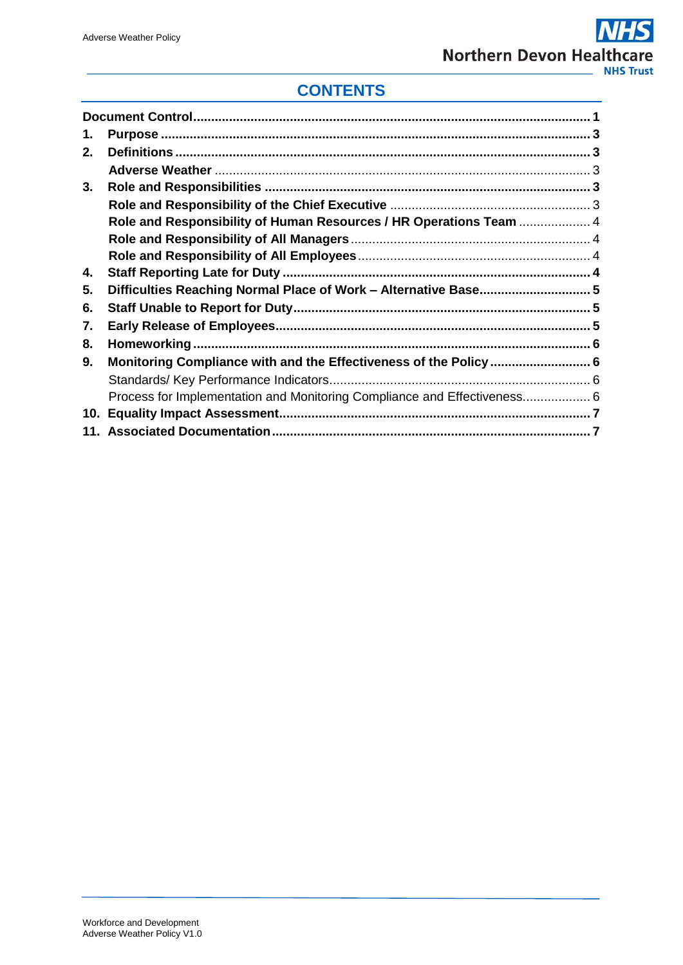# **CONTENTS**

<span id="page-1-0"></span>

| 1. |                                                                          |  |
|----|--------------------------------------------------------------------------|--|
| 2. |                                                                          |  |
|    |                                                                          |  |
| 3. |                                                                          |  |
|    |                                                                          |  |
|    | Role and Responsibility of Human Resources / HR Operations Team  4       |  |
|    |                                                                          |  |
|    |                                                                          |  |
| 4. |                                                                          |  |
| 5. | Difficulties Reaching Normal Place of Work - Alternative Base 5          |  |
| 6. |                                                                          |  |
| 7. |                                                                          |  |
| 8. |                                                                          |  |
| 9. |                                                                          |  |
|    |                                                                          |  |
|    | Process for Implementation and Monitoring Compliance and Effectiveness 6 |  |
|    |                                                                          |  |
|    |                                                                          |  |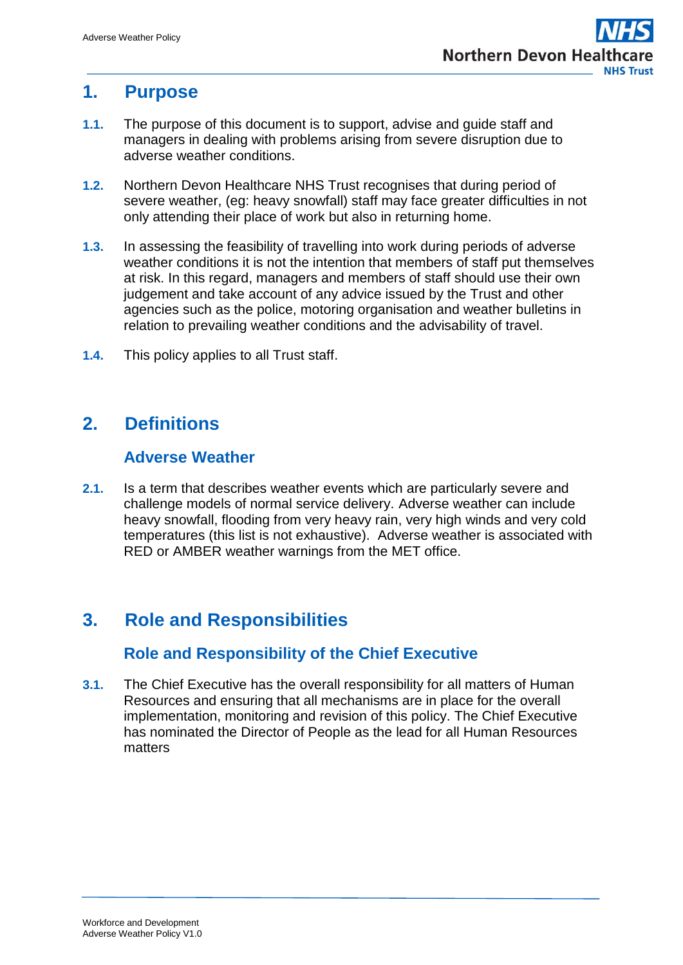## **1. Purpose**

- **1.1.** The purpose of this document is to support, advise and guide staff and managers in dealing with problems arising from severe disruption due to adverse weather conditions.
- **1.2.** Northern Devon Healthcare NHS Trust recognises that during period of severe weather, (eg: heavy snowfall) staff may face greater difficulties in not only attending their place of work but also in returning home.
- **1.3.** In assessing the feasibility of travelling into work during periods of adverse weather conditions it is not the intention that members of staff put themselves at risk. In this regard, managers and members of staff should use their own judgement and take account of any advice issued by the Trust and other agencies such as the police, motoring organisation and weather bulletins in relation to prevailing weather conditions and the advisability of travel.
- **1.4.** This policy applies to all Trust staff.

# <span id="page-2-0"></span>**2. Definitions**

#### **Adverse Weather**

<span id="page-2-1"></span>**2.1.** Is a term that describes weather events which are particularly severe and challenge models of normal service delivery. Adverse weather can include heavy snowfall, flooding from very heavy rain, very high winds and very cold temperatures (this list is not exhaustive). Adverse weather is associated with RED or AMBER weather warnings from the MET office.

# <span id="page-2-2"></span>**3. Role and Responsibilities**

### **Role and Responsibility of the Chief Executive**

<span id="page-2-3"></span>**3.1.** The Chief Executive has the overall responsibility for all matters of Human Resources and ensuring that all mechanisms are in place for the overall implementation, monitoring and revision of this policy. The Chief Executive has nominated the Director of People as the lead for all Human Resources matters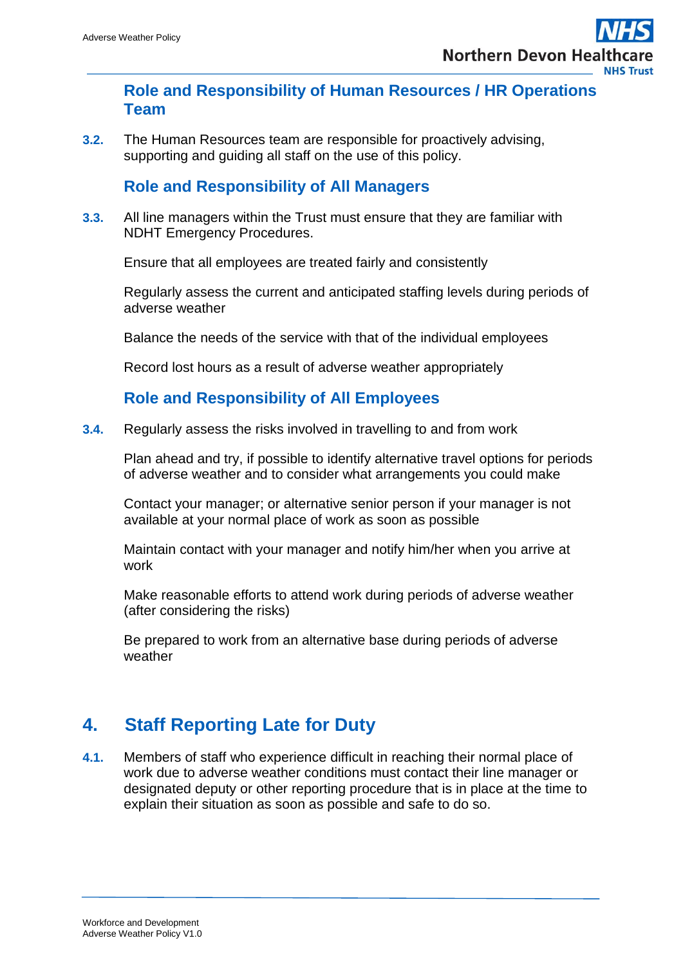#### <span id="page-3-0"></span>**Role and Responsibility of Human Resources / HR Operations Team**

**3.2.** The Human Resources team are responsible for proactively advising, supporting and guiding all staff on the use of this policy.

#### **Role and Responsibility of All Managers**

<span id="page-3-1"></span>**3.3.** All line managers within the Trust must ensure that they are familiar with NDHT Emergency Procedures.

Ensure that all employees are treated fairly and consistently

Regularly assess the current and anticipated staffing levels during periods of adverse weather

Balance the needs of the service with that of the individual employees

Record lost hours as a result of adverse weather appropriately

#### **Role and Responsibility of All Employees**

<span id="page-3-2"></span>**3.4.** Regularly assess the risks involved in travelling to and from work

Plan ahead and try, if possible to identify alternative travel options for periods of adverse weather and to consider what arrangements you could make

Contact your manager; or alternative senior person if your manager is not available at your normal place of work as soon as possible

Maintain contact with your manager and notify him/her when you arrive at work

Make reasonable efforts to attend work during periods of adverse weather (after considering the risks)

Be prepared to work from an alternative base during periods of adverse weather

# <span id="page-3-3"></span>**4. Staff Reporting Late for Duty**

**4.1.** Members of staff who experience difficult in reaching their normal place of work due to adverse weather conditions must contact their line manager or designated deputy or other reporting procedure that is in place at the time to explain their situation as soon as possible and safe to do so.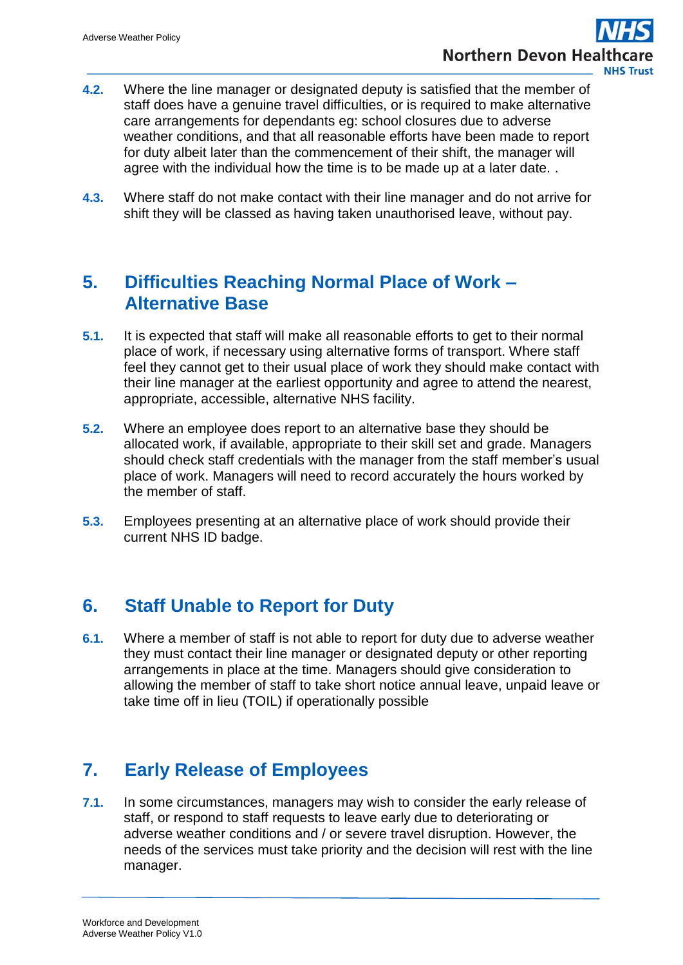- **4.2.** Where the line manager or designated deputy is satisfied that the member of staff does have a genuine travel difficulties, or is required to make alternative care arrangements for dependants eg: school closures due to adverse weather conditions, and that all reasonable efforts have been made to report for duty albeit later than the commencement of their shift, the manager will agree with the individual how the time is to be made up at a later date. .
- **4.3.** Where staff do not make contact with their line manager and do not arrive for shift they will be classed as having taken unauthorised leave, without pay.

## <span id="page-4-0"></span>**5. Difficulties Reaching Normal Place of Work – Alternative Base**

- **5.1.** It is expected that staff will make all reasonable efforts to get to their normal place of work, if necessary using alternative forms of transport. Where staff feel they cannot get to their usual place of work they should make contact with their line manager at the earliest opportunity and agree to attend the nearest, appropriate, accessible, alternative NHS facility.
- **5.2.** Where an employee does report to an alternative base they should be allocated work, if available, appropriate to their skill set and grade. Managers should check staff credentials with the manager from the staff member's usual place of work. Managers will need to record accurately the hours worked by the member of staff.
- **5.3.** Employees presenting at an alternative place of work should provide their current NHS ID badge.

# <span id="page-4-1"></span>**6. Staff Unable to Report for Duty**

**6.1.** Where a member of staff is not able to report for duty due to adverse weather they must contact their line manager or designated deputy or other reporting arrangements in place at the time. Managers should give consideration to allowing the member of staff to take short notice annual leave, unpaid leave or take time off in lieu (TOIL) if operationally possible

# <span id="page-4-2"></span>**7. Early Release of Employees**

**7.1.** In some circumstances, managers may wish to consider the early release of staff, or respond to staff requests to leave early due to deteriorating or adverse weather conditions and / or severe travel disruption. However, the needs of the services must take priority and the decision will rest with the line manager.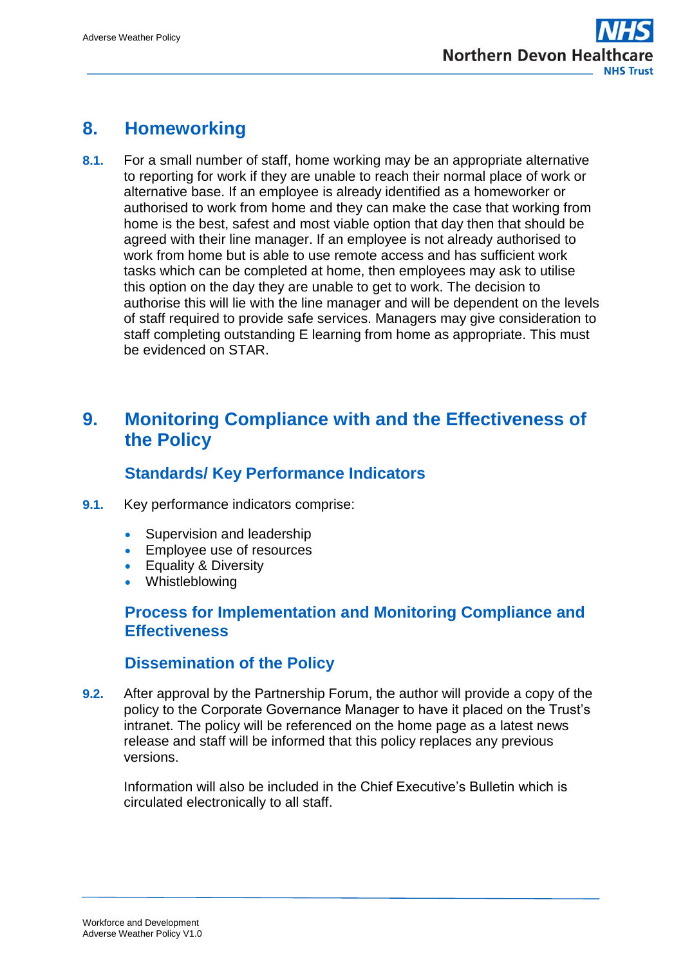## <span id="page-5-0"></span>**8. Homeworking**

**8.1.** For a small number of staff, home working may be an appropriate alternative to reporting for work if they are unable to reach their normal place of work or alternative base. If an employee is already identified as a homeworker or authorised to work from home and they can make the case that working from home is the best, safest and most viable option that day then that should be agreed with their line manager. If an employee is not already authorised to work from home but is able to use remote access and has sufficient work tasks which can be completed at home, then employees may ask to utilise this option on the day they are unable to get to work. The decision to authorise this will lie with the line manager and will be dependent on the levels of staff required to provide safe services. Managers may give consideration to staff completing outstanding E learning from home as appropriate. This must be evidenced on STAR.

## <span id="page-5-1"></span>**9. Monitoring Compliance with and the Effectiveness of the Policy**

### **Standards/ Key Performance Indicators**

- <span id="page-5-2"></span>**9.1.** Key performance indicators comprise:
	- Supervision and leadership
	- **Employee use of resources**
	- **•** Equality & Diversity
	- Whistleblowing

#### <span id="page-5-3"></span>**Process for Implementation and Monitoring Compliance and Effectiveness**

#### **Dissemination of the Policy**

**9.2.** After approval by the Partnership Forum, the author will provide a copy of the policy to the Corporate Governance Manager to have it placed on the Trust's intranet. The policy will be referenced on the home page as a latest news release and staff will be informed that this policy replaces any previous versions.

Information will also be included in the Chief Executive's Bulletin which is circulated electronically to all staff.